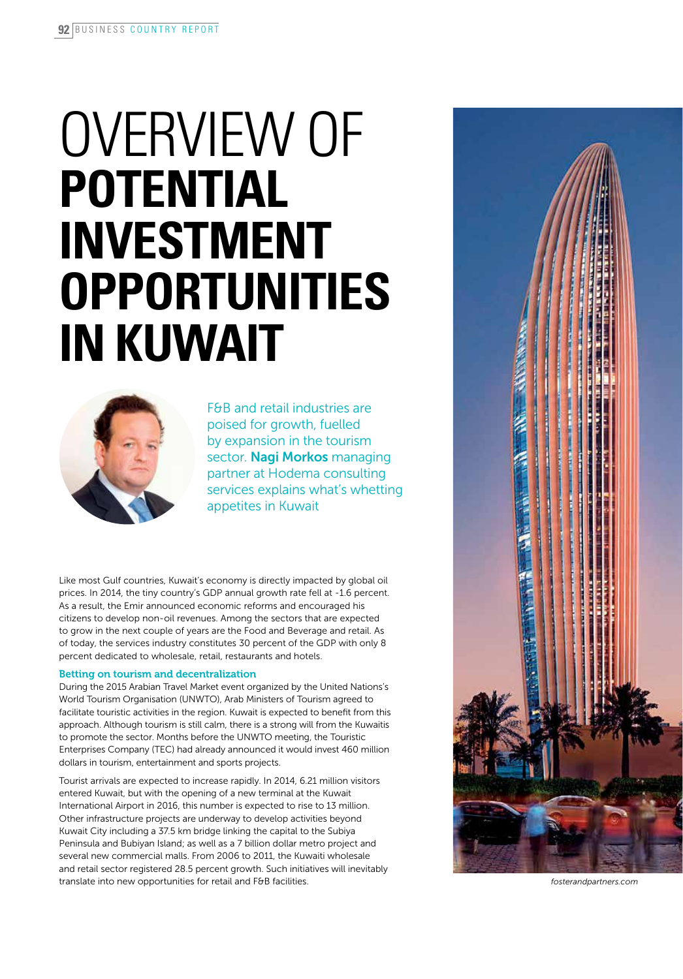# OVERVIEW OF **potential investment opportunities in Kuwait**



F&B and retail industries are poised for growth, fuelled by expansion in the tourism sector. Nagi Morkos managing partner at Hodema consulting services explains what's whetting appetites in Kuwait

Like most Gulf countries, Kuwait's economy is directly impacted by global oil prices. In 2014, the tiny country's GDP annual growth rate fell at -1.6 percent. As a result, the Emir announced economic reforms and encouraged his citizens to develop non-oil revenues. Among the sectors that are expected to grow in the next couple of years are the Food and Beverage and retail. As of today, the services industry constitutes 30 percent of the GDP with only 8 percent dedicated to wholesale, retail, restaurants and hotels.

## Betting on tourism and decentralization

During the 2015 Arabian Travel Market event organized by the United Nations's World Tourism Organisation (UNWTO), Arab Ministers of Tourism agreed to facilitate touristic activities in the region. Kuwait is expected to benefit from this approach. Although tourism is still calm, there is a strong will from the Kuwaitis to promote the sector. Months before the UNWTO meeting, the Touristic Enterprises Company (TEC) had already announced it would invest 460 million dollars in tourism, entertainment and sports projects.

Tourist arrivals are expected to increase rapidly. In 2014, 6.21 million visitors entered Kuwait, but with the opening of a new terminal at the Kuwait International Airport in 2016, this number is expected to rise to 13 million. Other infrastructure projects are underway to develop activities beyond Kuwait City including a 37.5 km bridge linking the capital to the Subiya Peninsula and Bubiyan Island; as well as a 7 billion dollar metro project and several new commercial malls. From 2006 to 2011, the Kuwaiti wholesale and retail sector registered 28.5 percent growth. Such initiatives will inevitably translate into new opportunities for retail and F&B facilities.



*fosterandpartners.com*